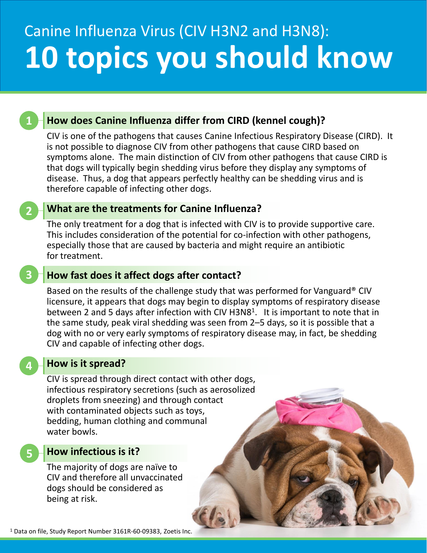# Canine Influenza Virus (CIV H3N2 and H3N8): **10 topics you should know**

# **How does Canine Influenza differ from CIRD (kennel cough)?**

CIV is one of the pathogens that causes Canine Infectious Respiratory Disease (CIRD). It is not possible to diagnose CIV from other pathogens that cause CIRD based on symptoms alone. The main distinction of CIV from other pathogens that cause CIRD is that dogs will typically begin shedding virus before they display any symptoms of disease. Thus, a dog that appears perfectly healthy can be shedding virus and is therefore capable of infecting other dogs.

## **What are the treatments for Canine Influenza?**

The only treatment for a dog that is infected with CIV is to provide supportive care. This includes consideration of the potential for co-infection with other pathogens, especially those that are caused by bacteria and might require an antibiotic for treatment.

## **How fast does it affect dogs after contact?**

Based on the results of the challenge study that was performed for Vanguard® CIV licensure, it appears that dogs may begin to display symptoms of respiratory disease between 2 and 5 days after infection with CIV H3N8<sup>1</sup>. It is important to note that in the same study, peak viral shedding was seen from 2–5 days, so it is possible that a dog with no or very early symptoms of respiratory disease may, in fact, be shedding CIV and capable of infecting other dogs.

## **How is it spread?**

CIV is spread through direct contact with other dogs, infectious respiratory secretions (such as aerosolized droplets from sneezing) and through contact with contaminated objects such as toys, bedding, human clothing and communal water bowls.

#### **How infectious is it?**

**5**

**4**

**1**

**2**

**3**

The majority of dogs are naïve to CIV and therefore all unvaccinated dogs should be considered as being at risk.